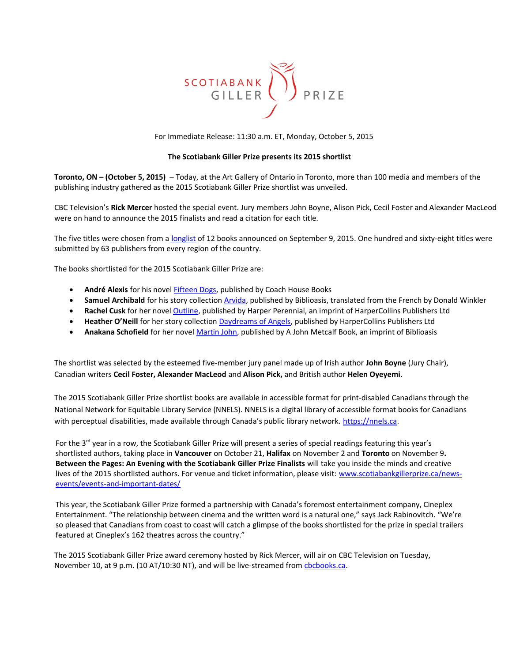

For Immediate Release: 11:30 a.m. ET, Monday, October 5, 2015

# **The Scotiabank Giller Prize presents its 2015 shortlist**

**Toronto, ON – (October 5, 2015)** – Today, at the Art Gallery of Ontario in Toronto, more than 100 media and members of the publishing industry gathered as the 2015 Scotiabank Giller Prize shortlist was unveiled.

CBC Television's **Rick Mercer** hosted the special event. Jury members John Boyne, Alison Pick, Cecil Foster and Alexander MacLeod were on hand to announce the 2015 finalists and read a citation for each title.

The five titles were chosen from a [longlist](http://www.scotiabankgillerprize.ca/finalists/2015longlist/) of 12 books announced on September 9, 2015. One hundred and sixty-eight titles were submitted by 63 publishers from every region of the country.

The books shortlisted for the 2015 Scotiabank Giller Prize are:

- **André Alexis** for his novel **Fifteen Dogs**, published by Coach House Books
- **Samuel Archibald** for his story collection [Arvida,](http://biblioasis.com/shop/fiction/arvida/) published by Biblioasis, translated from the French by Donald Winkler
- **Rachel Cusk** for her novel [Outline,](http://www.harpercollins.ca/9781443447102/outline) published by Harper Perennial, an imprint of HarperCollins Publishers Ltd
- **Heather O'Neill** for her story collection [Daydreams of Angels,](http://www.harpercollins.ca/9781554684519/the-daydreams-of-angels) published by HarperCollins Publishers Ltd
- **Anakana Schofield** for her novel [Martin John,](http://biblioasis.com/shop/fiction/martin-john-2/) published by A John Metcalf Book, an imprint of Biblioasis

The shortlist was selected by the esteemed five-member jury panel made up of Irish author **John Boyne** (Jury Chair), Canadian writers **Cecil Foster, Alexander MacLeod** and **Alison Pick,** and British author **Helen Oyeyemi**.

The 2015 Scotiabank Giller Prize shortlist books are available in accessible format for print-disabled Canadians through the National Network for Equitable Library Service (NNELS). NNELS is a digital library of accessible format books for Canadians with perceptual disabilities, made available through Canada's public library network. https://nnels.ca.

For the  $3^{rd}$  year in a row, the Scotiabank Giller Prize will present a series of special readings featuring this year's shortlisted authors, taking place in **Vancouver** on October 21, **Halifax** on November 2 and **Toronto** on November 9**. Between the Pages: An Evening with the Scotiabank Giller Prize Finalists** will take you inside the minds and creative lives of the 2015 shortlisted authors. For venue and ticket information, please visit: [www.scotiabankgillerprize.ca/news](http://www.scotiabankgillerprize.ca/news-events/events-and-important-dates/)[events/events-and-important-dates/](http://www.scotiabankgillerprize.ca/news-events/events-and-important-dates/)

This year, the Scotiabank Giller Prize formed a partnership with Canada's foremost entertainment company, Cineplex Entertainment. "The relationship between cinema and the written word is a natural one," says Jack Rabinovitch. "We're so pleased that Canadians from coast to coast will catch a glimpse of the books shortlisted for the prize in special trailers featured at Cineplex's 162 theatres across the country."

The 2015 Scotiabank Giller Prize award ceremony hosted by Rick Mercer, will air on CBC Television on Tuesday, November 10, at 9 p.m. (10 AT/10:30 NT), and will be live-streamed from chochooks.ca.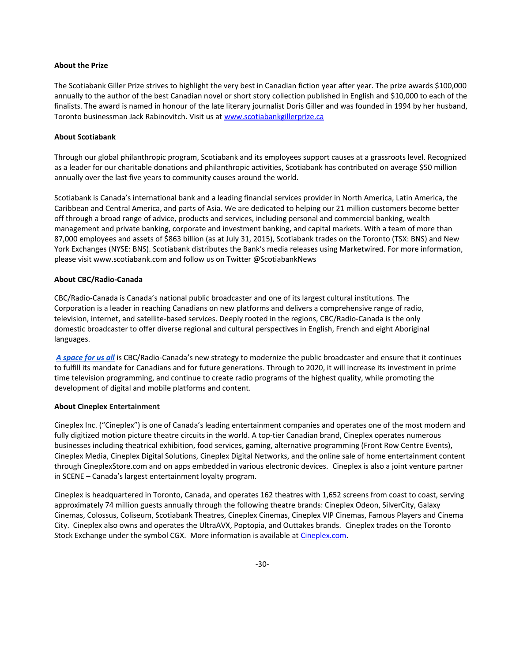## **About the Prize**

The Scotiabank Giller Prize strives to highlight the very best in Canadian fiction year after year. The prize awards \$100,000 annually to the author of the best Canadian novel or short story collection published in English and \$10,000 to each of the finalists. The award is named in honour of the late literary journalist Doris Giller and was founded in 1994 by her husband, Toronto businessman Jack Rabinovitch. Visit us at [www.scotiabankgillerprize.ca](http://www.scotiabankgillerprize.ca/)

#### **About Scotiabank**

Through our global philanthropic program, Scotiabank and its employees support causes at a grassroots level. Recognized as a leader for our charitable donations and philanthropic activities, Scotiabank has contributed on average \$50 million annually over the last five years to community causes around the world.

Scotiabank is Canada's international bank and a leading financial services provider in North America, Latin America, the Caribbean and Central America, and parts of Asia. We are dedicated to helping our 21 million customers become better off through a broad range of advice, products and services, including personal and commercial banking, wealth management and private banking, corporate and investment banking, and capital markets. With a team of more than 87,000 employees and assets of \$863 billion (as at July 31, 2015), Scotiabank trades on the Toronto (TSX: BNS) and New York Exchanges (NYSE: BNS). Scotiabank distributes the Bank's media releases using Marketwired. For more information, please visit www.scotiabank.com and follow us on Twitter @ScotiabankNews

### **About CBC/Radio-Canada**

CBC/Radio-Canada is Canada's national public broadcaster and one of its largest cultural institutions. The Corporation is a leader in reaching Canadians on new platforms and delivers a comprehensive range of radio, television, internet, and satellite-based services. Deeply rooted in the regions, CBC/Radio-Canada is the only domestic broadcaster to offer diverse regional and cultural perspectives in English, French and eight Aboriginal languages.

*[A space for us all](http://www.cbc.radio-canada.ca/en/explore/strategies/2020/)* is CBC/Radio-Canada's new strategy to modernize the public broadcaster and ensure that it continues to fulfill its mandate for Canadians and for future generations. Through to 2020, it will increase its investment in prime time television programming, and continue to create radio programs of the highest quality, while promoting the development of digital and mobile platforms and content.

## **About Cineplex Entertainment**

Cineplex Inc. ("Cineplex") is one of Canada's leading entertainment companies and operates one of the most modern and fully digitized motion picture theatre circuits in the world. A top-tier Canadian brand, Cineplex operates numerous businesses including theatrical exhibition, food services, gaming, alternative programming (Front Row Centre Events), Cineplex Media, Cineplex Digital Solutions, Cineplex Digital Networks, and the online sale of home entertainment content through CineplexStore.com and on apps embedded in various electronic devices. Cineplex is also a joint venture partner in SCENE – Canada's largest entertainment loyalty program.

Cineplex is headquartered in Toronto, Canada, and operates 162 theatres with 1,652 screens from coast to coast, serving approximately 74 million guests annually through the following theatre brands: Cineplex Odeon, SilverCity, Galaxy Cinemas, Colossus, Coliseum, Scotiabank Theatres, Cineplex Cinemas, Cineplex VIP Cinemas, Famous Players and Cinema City. Cineplex also owns and operates the UltraAVX, Poptopia, and Outtakes brands. Cineplex trades on the Toronto Stock Exchange under the symbol CGX. More information is available at [Cineplex.com.](http://www.cineplex.com/)